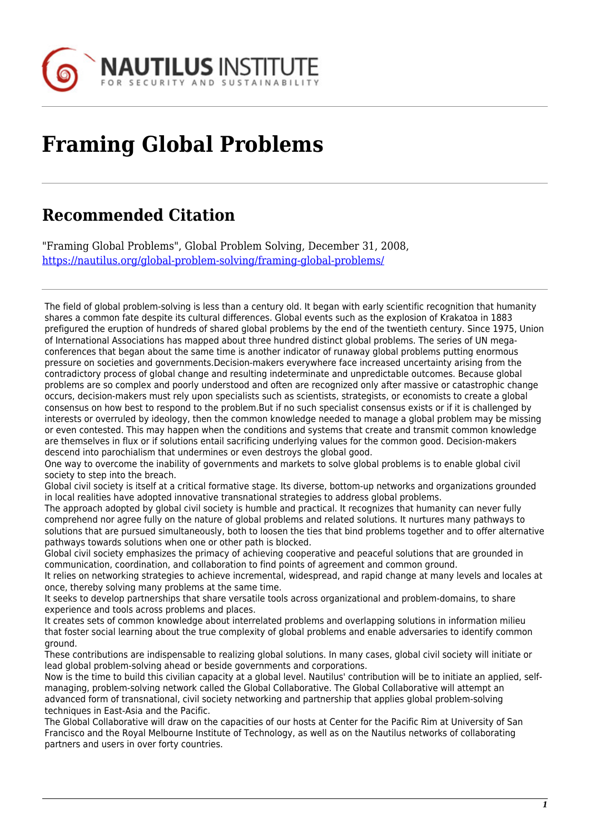

## **Framing Global Problems**

## **Recommended Citation**

"Framing Global Problems", Global Problem Solving, December 31, 2008, <https://nautilus.org/global-problem-solving/framing-global-problems/>

The field of global problem-solving is less than a century old. It began with early scientific recognition that humanity shares a common fate despite its cultural differences. Global events such as the explosion of Krakatoa in 1883 prefigured the eruption of hundreds of shared global problems by the end of the twentieth century. Since 1975, Union of International Associations has mapped about three hundred distinct global problems. The series of UN megaconferences that began about the same time is another indicator of runaway global problems putting enormous pressure on societies and governments.Decision-makers everywhere face increased uncertainty arising from the contradictory process of global change and resulting indeterminate and unpredictable outcomes. Because global problems are so complex and poorly understood and often are recognized only after massive or catastrophic change occurs, decision-makers must rely upon specialists such as scientists, strategists, or economists to create a global consensus on how best to respond to the problem.But if no such specialist consensus exists or if it is challenged by interests or overruled by ideology, then the common knowledge needed to manage a global problem may be missing or even contested. This may happen when the conditions and systems that create and transmit common knowledge are themselves in flux or if solutions entail sacrificing underlying values for the common good. Decision-makers descend into parochialism that undermines or even destroys the global good.

One way to overcome the inability of governments and markets to solve global problems is to enable global civil society to step into the breach.

Global civil society is itself at a critical formative stage. Its diverse, bottom-up networks and organizations grounded in local realities have adopted innovative transnational strategies to address global problems.

The approach adopted by global civil society is humble and practical. It recognizes that humanity can never fully comprehend nor agree fully on the nature of global problems and related solutions. It nurtures many pathways to solutions that are pursued simultaneously, both to loosen the ties that bind problems together and to offer alternative pathways towards solutions when one or other path is blocked.

Global civil society emphasizes the primacy of achieving cooperative and peaceful solutions that are grounded in communication, coordination, and collaboration to find points of agreement and common ground.

It relies on networking strategies to achieve incremental, widespread, and rapid change at many levels and locales at once, thereby solving many problems at the same time.

It seeks to develop partnerships that share versatile tools across organizational and problem-domains, to share experience and tools across problems and places.

It creates sets of common knowledge about interrelated problems and overlapping solutions in information milieu that foster social learning about the true complexity of global problems and enable adversaries to identify common ground.

These contributions are indispensable to realizing global solutions. In many cases, global civil society will initiate or lead global problem-solving ahead or beside governments and corporations.

Now is the time to build this civilian capacity at a global level. Nautilus' contribution will be to initiate an applied, selfmanaging, problem-solving network called the Global Collaborative. The Global Collaborative will attempt an advanced form of transnational, civil society networking and partnership that applies global problem-solving techniques in East-Asia and the Pacific.

The Global Collaborative will draw on the capacities of our hosts at Center for the Pacific Rim at University of San Francisco and the Royal Melbourne Institute of Technology, as well as on the Nautilus networks of collaborating partners and users in over forty countries.